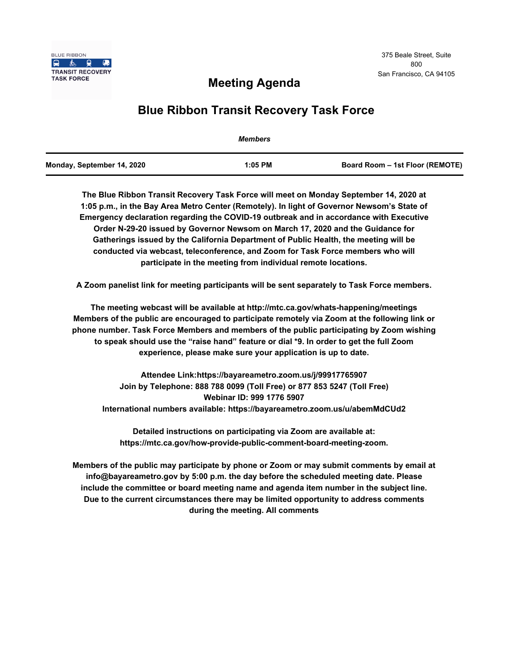

# **Meeting Agenda**

# **Blue Ribbon Transit Recovery Task Force**

|                            | <b>Members</b> |                                 |
|----------------------------|----------------|---------------------------------|
| Monday, September 14, 2020 | $1:05$ PM      | Board Room – 1st Floor (REMOTE) |

**The Blue Ribbon Transit Recovery Task Force will meet on Monday September 14, 2020 at 1:05 p.m., in the Bay Area Metro Center (Remotely). In light of Governor Newsom's State of Emergency declaration regarding the COVID-19 outbreak and in accordance with Executive Order N-29-20 issued by Governor Newsom on March 17, 2020 and the Guidance for Gatherings issued by the California Department of Public Health, the meeting will be conducted via webcast, teleconference, and Zoom for Task Force members who will participate in the meeting from individual remote locations.** 

**A Zoom panelist link for meeting participants will be sent separately to Task Force members.**

**The meeting webcast will be available at http://mtc.ca.gov/whats-happening/meetings Members of the public are encouraged to participate remotely via Zoom at the following link or phone number. Task Force Members and members of the public participating by Zoom wishing to speak should use the "raise hand" feature or dial \*9. In order to get the full Zoom experience, please make sure your application is up to date.**

**Attendee Link:https://bayareametro.zoom.us/j/99917765907 Join by Telephone: 888 788 0099 (Toll Free) or 877 853 5247 (Toll Free) Webinar ID: 999 1776 5907 International numbers available: https://bayareametro.zoom.us/u/abemMdCUd2**

**Detailed instructions on participating via Zoom are available at: https://mtc.ca.gov/how-provide-public-comment-board-meeting-zoom.**

**Members of the public may participate by phone or Zoom or may submit comments by email at info@bayareametro.gov by 5:00 p.m. the day before the scheduled meeting date. Please include the committee or board meeting name and agenda item number in the subject line. Due to the current circumstances there may be limited opportunity to address comments during the meeting. All comments**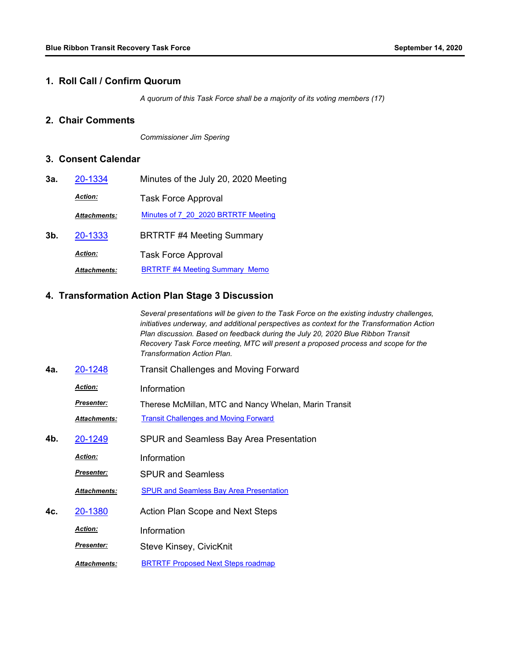#### **1. Roll Call / Confirm Quorum**

*A quorum of this Task Force shall be a majority of its voting members (17)*

### **2. Chair Comments**

*Commissioner Jim Spering*

#### **3. Consent Calendar**

| 3а.    | 20-1334             | Minutes of the July 20, 2020 Meeting  |
|--------|---------------------|---------------------------------------|
|        | <b>Action:</b>      | <b>Task Force Approval</b>            |
|        | <b>Attachments:</b> | Minutes of 7 20 2020 BRTRTF Meeting   |
| $3b$ . | 20-1333             | <b>BRTRTF #4 Meeting Summary</b>      |
|        | <b>Action:</b>      | <b>Task Force Approval</b>            |
|        | <b>Attachments:</b> | <b>BRTRTF #4 Meeting Summary Memo</b> |

#### **4. Transformation Action Plan Stage 3 Discussion**

*Several presentations will be given to the Task Force on the existing industry challenges, initiatives underway, and additional perspectives as context for the Transformation Action Plan discussion. Based on feedback during the July 20, 2020 Blue Ribbon Transit Recovery Task Force meeting, MTC will present a proposed process and scope for the Transformation Action Plan.*

- **4a.** [20-1248](http://mtc.legistar.com/gateway.aspx?m=l&id=/matter.aspx?key=21113) Transit Challenges and Moving Forward
	- *Action:* Information

*Presenter:* Therese McMillan, MTC and Nancy Whelan, Marin Transit

*Attachments:* [Transit Challenges and Moving Forward](http://mtc.legistar.com/gateway.aspx?M=F&ID=dbdb6798-3a3d-4dba-b307-75ba658736c3.pptx)

**4b.** [20-1249](http://mtc.legistar.com/gateway.aspx?m=l&id=/matter.aspx?key=21114) SPUR and Seamless Bay Area Presentation

*Action:* Information

SPUR and Seamless *Presenter:*

*Attachments:* [SPUR and Seamless Bay Area Presentation](http://mtc.legistar.com/gateway.aspx?M=F&ID=ae8d3f94-2403-4a7e-b2e0-27a4ea44dfbe.pdf)

**4c.** [20-1380](http://mtc.legistar.com/gateway.aspx?m=l&id=/matter.aspx?key=21245) Action Plan Scope and Next Steps

*Action:* Information

Steve Kinsey, CivicKnit *Presenter:*

*Attachments:* [BRTRTF Proposed Next Steps roadmap](http://mtc.legistar.com/gateway.aspx?M=F&ID=23a5fd2c-feb5-4eb6-a643-c7570e112313.pdf)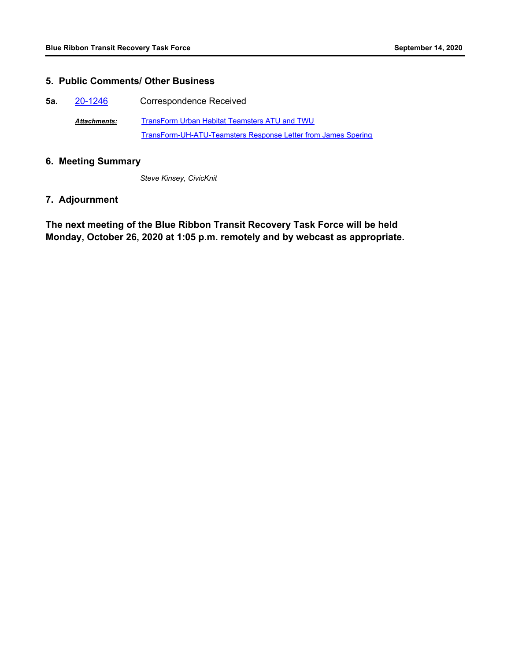### **5. Public Comments/ Other Business**

- **5a.** [20-1246](http://mtc.legistar.com/gateway.aspx?m=l&id=/matter.aspx?key=21111) Correspondence Received
	- [TransForm Urban Habitat Teamsters ATU and TWU](http://mtc.legistar.com/gateway.aspx?M=F&ID=acfe1720-2230-4d26-993f-d7d383041a9a.pdf) [TransForm-UH-ATU-Teamsters Response Letter from James Spering](http://mtc.legistar.com/gateway.aspx?M=F&ID=575ba6d9-7c63-40dc-868d-b8427da378ee.pdf) *Attachments:*

#### **6. Meeting Summary**

*Steve Kinsey, CivicKnit*

## **7. Adjournment**

**The next meeting of the Blue Ribbon Transit Recovery Task Force will be held Monday, October 26, 2020 at 1:05 p.m. remotely and by webcast as appropriate.**